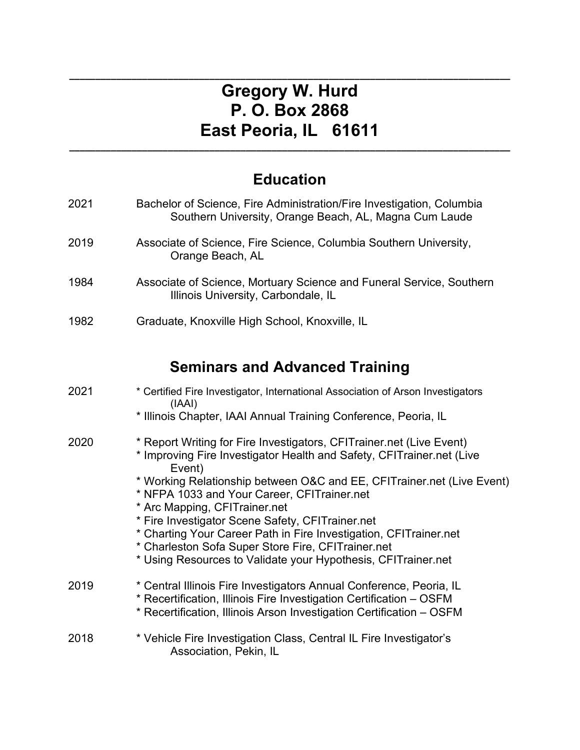# **\_\_\_\_\_\_\_\_\_\_\_\_\_\_\_\_\_\_\_\_\_\_\_\_\_\_\_\_\_\_\_\_\_\_\_\_\_\_\_\_\_\_\_\_\_\_\_\_\_\_\_\_\_\_\_\_\_\_\_\_\_\_\_\_\_\_\_\_\_\_\_\_\_\_\_\_\_\_\_\_\_\_\_\_\_ Gregory W. Hurd P. O. Box 2868 East Peoria, IL 61611**

# **Education**

**\_\_\_\_\_\_\_\_\_\_\_\_\_\_\_\_\_\_\_\_\_\_\_\_\_\_\_\_\_\_\_\_\_\_\_\_\_\_\_\_\_\_\_\_\_\_\_\_\_\_\_\_\_\_\_\_\_\_\_\_\_\_\_\_\_\_\_\_\_\_\_\_\_\_\_\_\_\_\_\_\_\_\_\_\_**

| 2021 | Bachelor of Science, Fire Administration/Fire Investigation, Columbia<br>Southern University, Orange Beach, AL, Magna Cum Laude                                                                                    |
|------|--------------------------------------------------------------------------------------------------------------------------------------------------------------------------------------------------------------------|
| 2019 | Associate of Science, Fire Science, Columbia Southern University,<br>Orange Beach, AL                                                                                                                              |
| 1984 | Associate of Science, Mortuary Science and Funeral Service, Southern<br>Illinois University, Carbondale, IL                                                                                                        |
| 1982 | Graduate, Knoxville High School, Knoxville, IL                                                                                                                                                                     |
|      | <b>Seminars and Advanced Training</b>                                                                                                                                                                              |
| 2021 | * Certified Fire Investigator, International Association of Arson Investigators                                                                                                                                    |
|      | (IAAI)<br>* Illinois Chapter, IAAI Annual Training Conference, Peoria, IL                                                                                                                                          |
| 2020 | * Report Writing for Fire Investigators, CFITrainer.net (Live Event)<br>* Improving Fire Investigator Health and Safety, CFITrainer.net (Live<br>Event)                                                            |
|      | * Working Relationship between O&C and EE, CFITrainer.net (Live Event)<br>* NFPA 1033 and Your Career, CFITrainer.net<br>* Arc Mapping, CFITrainer.net                                                             |
|      | * Fire Investigator Scene Safety, CFITrainer.net                                                                                                                                                                   |
|      | * Charting Your Career Path in Fire Investigation, CFITrainer.net                                                                                                                                                  |
|      | * Charleston Sofa Super Store Fire, CFITrainer.net<br>* Using Resources to Validate your Hypothesis, CFITrainer.net                                                                                                |
| 2019 | * Central Illinois Fire Investigators Annual Conference, Peoria, IL<br>* Recertification, Illinois Fire Investigation Certification - OSFM<br>* Recertification, Illinois Arson Investigation Certification – OSFM |
| 2018 | * Vehicle Fire Investigation Class, Central IL Fire Investigator's<br>Association, Pekin, IL                                                                                                                       |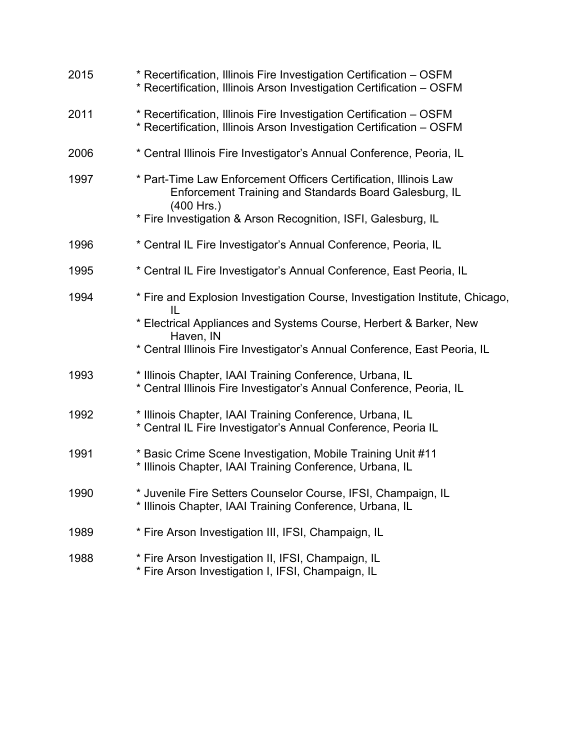| 2015 | * Recertification, Illinois Fire Investigation Certification - OSFM<br>* Recertification, Illinois Arson Investigation Certification - OSFM |
|------|---------------------------------------------------------------------------------------------------------------------------------------------|
| 2011 | * Recertification, Illinois Fire Investigation Certification - OSFM<br>* Recertification, Illinois Arson Investigation Certification - OSFM |
| 2006 | * Central Illinois Fire Investigator's Annual Conference, Peoria, IL                                                                        |
| 1997 | * Part-Time Law Enforcement Officers Certification, Illinois Law<br>Enforcement Training and Standards Board Galesburg, IL<br>$(400$ Hrs.)  |
|      | * Fire Investigation & Arson Recognition, ISFI, Galesburg, IL                                                                               |
| 1996 | * Central IL Fire Investigator's Annual Conference, Peoria, IL                                                                              |
| 1995 | * Central IL Fire Investigator's Annual Conference, East Peoria, IL                                                                         |
| 1994 | * Fire and Explosion Investigation Course, Investigation Institute, Chicago,<br>$\mathbf{II}$                                               |
|      | * Electrical Appliances and Systems Course, Herbert & Barker, New<br>Haven, IN                                                              |
|      | * Central Illinois Fire Investigator's Annual Conference, East Peoria, IL                                                                   |
| 1993 | * Illinois Chapter, IAAI Training Conference, Urbana, IL<br>* Central Illinois Fire Investigator's Annual Conference, Peoria, IL            |
| 1992 | * Illinois Chapter, IAAI Training Conference, Urbana, IL<br>* Central IL Fire Investigator's Annual Conference, Peoria IL                   |
| 1991 | * Basic Crime Scene Investigation, Mobile Training Unit #11<br>* Illinois Chapter, IAAI Training Conference, Urbana, IL                     |
| 1990 | * Juvenile Fire Setters Counselor Course, IFSI, Champaign, IL<br>* Illinois Chapter, IAAI Training Conference, Urbana, IL                   |
| 1989 | * Fire Arson Investigation III, IFSI, Champaign, IL                                                                                         |
| 1988 | * Fire Arson Investigation II, IFSI, Champaign, IL<br>* Fire Arson Investigation I, IFSI, Champaign, IL                                     |
|      |                                                                                                                                             |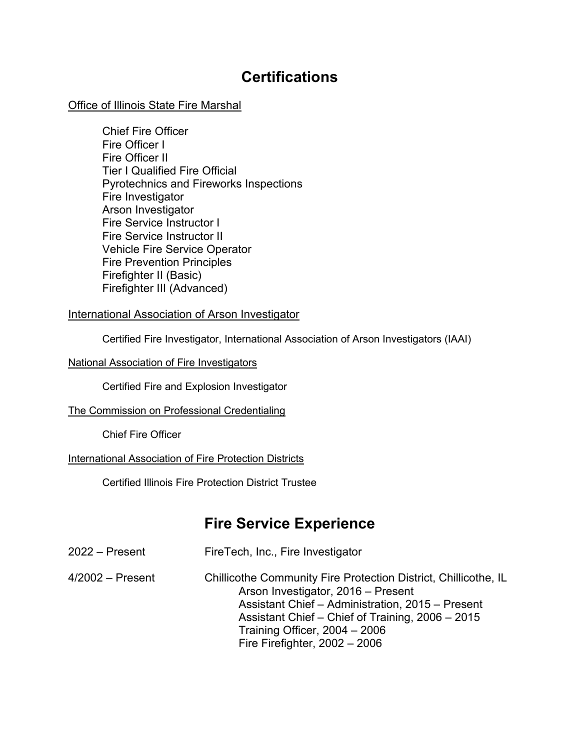### **Certifications**

#### Office of Illinois State Fire Marshal

Chief Fire Officer Fire Officer I Fire Officer II Tier I Qualified Fire Official Pyrotechnics and Fireworks Inspections Fire Investigator Arson Investigator Fire Service Instructor I Fire Service Instructor II Vehicle Fire Service Operator Fire Prevention Principles Firefighter II (Basic) Firefighter III (Advanced)

#### International Association of Arson Investigator

Certified Fire Investigator, International Association of Arson Investigators (IAAI)

#### National Association of Fire Investigators

Certified Fire and Explosion Investigator

#### The Commission on Professional Credentialing

Chief Fire Officer

#### International Association of Fire Protection Districts

Certified Illinois Fire Protection District Trustee

### **Fire Service Experience**

| $2022 -$ Present   | FireTech, Inc., Fire Investigator                                                                                                                                                                                                                                                   |
|--------------------|-------------------------------------------------------------------------------------------------------------------------------------------------------------------------------------------------------------------------------------------------------------------------------------|
| $4/2002 -$ Present | Chillicothe Community Fire Protection District, Chillicothe, IL<br>Arson Investigator, 2016 - Present<br>Assistant Chief - Administration, 2015 - Present<br>Assistant Chief - Chief of Training, 2006 - 2015<br>Training Officer, $2004 - 2006$<br>Fire Firefighter, $2002 - 2006$ |